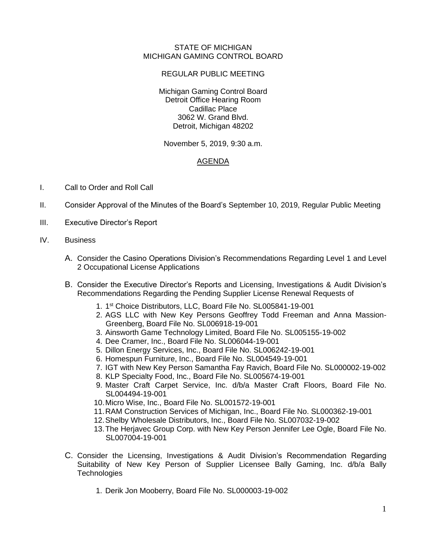## STATE OF MICHIGAN MICHIGAN GAMING CONTROL BOARD

## REGULAR PUBLIC MEETING

Michigan Gaming Control Board Detroit Office Hearing Room Cadillac Place 3062 W. Grand Blvd. Detroit, Michigan 48202

November 5, 2019, 9:30 a.m.

## AGENDA

- I. Call to Order and Roll Call
- II. Consider Approval of the Minutes of the Board's September 10, 2019, Regular Public Meeting
- III. Executive Director's Report
- IV. Business
	- A. Consider the Casino Operations Division's Recommendations Regarding Level 1 and Level 2 Occupational License Applications
	- B. Consider the Executive Director's Reports and Licensing, Investigations & Audit Division's Recommendations Regarding the Pending Supplier License Renewal Requests of
		- 1. 1 st Choice Distributors, LLC, Board File No. SL005841-19-001
		- 2. AGS LLC with New Key Persons Geoffrey Todd Freeman and Anna Massion-Greenberg, Board File No. SL006918-19-001
		- 3. Ainsworth Game Technology Limited, Board File No. SL005155-19-002
		- 4. Dee Cramer, Inc., Board File No. SL006044-19-001
		- 5. Dillon Energy Services, Inc., Board File No. SL006242-19-001
		- 6. Homespun Furniture, Inc., Board File No. SL004549-19-001
		- 7. IGT with New Key Person Samantha Fay Ravich, Board File No. SL000002-19-002
		- 8. KLP Specialty Food, Inc., Board File No. SL005674-19-001
		- 9. Master Craft Carpet Service, Inc. d/b/a Master Craft Floors, Board File No. SL004494-19-001
		- 10.Micro Wise, Inc., Board File No. SL001572-19-001
		- 11.RAM Construction Services of Michigan, Inc., Board File No. SL000362-19-001
		- 12.Shelby Wholesale Distributors, Inc., Board File No. SL007032-19-002
		- 13.The Herjavec Group Corp. with New Key Person Jennifer Lee Ogle, Board File No. SL007004-19-001
	- C. Consider the Licensing, Investigations & Audit Division's Recommendation Regarding Suitability of New Key Person of Supplier Licensee Bally Gaming, Inc. d/b/a Bally **Technologies** 
		- 1. Derik Jon Mooberry, Board File No. SL000003-19-002